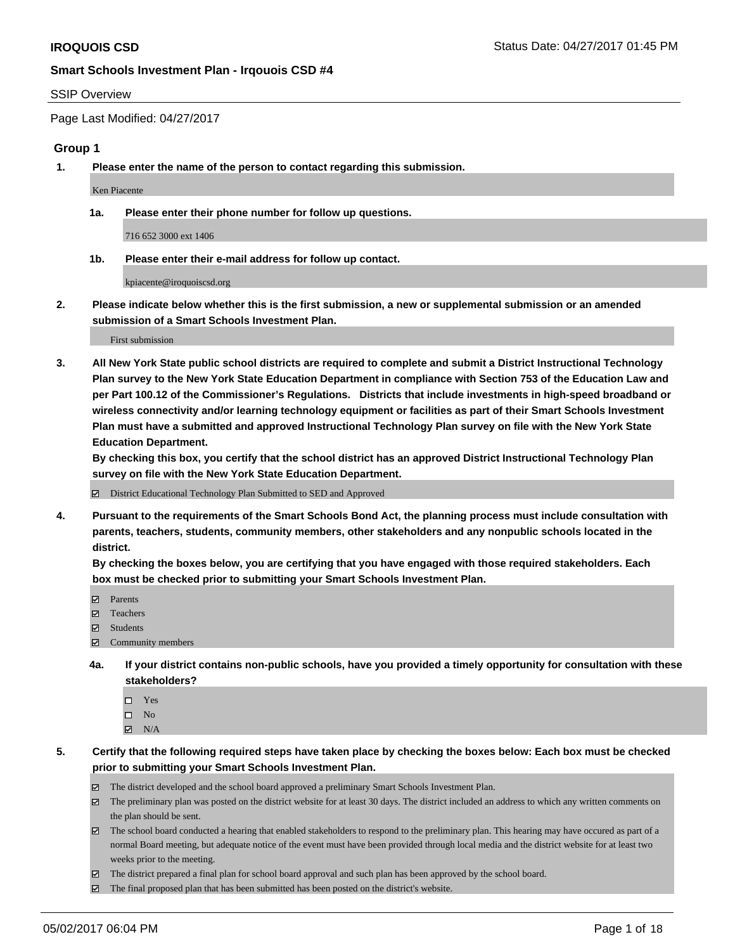#### SSIP Overview

Page Last Modified: 04/27/2017

#### **Group 1**

**1. Please enter the name of the person to contact regarding this submission.**

Ken Piacente

**1a. Please enter their phone number for follow up questions.**

716 652 3000 ext 1406

**1b. Please enter their e-mail address for follow up contact.**

kpiacente@iroquoiscsd.org

**2. Please indicate below whether this is the first submission, a new or supplemental submission or an amended submission of a Smart Schools Investment Plan.**

First submission

**3. All New York State public school districts are required to complete and submit a District Instructional Technology Plan survey to the New York State Education Department in compliance with Section 753 of the Education Law and per Part 100.12 of the Commissioner's Regulations. Districts that include investments in high-speed broadband or wireless connectivity and/or learning technology equipment or facilities as part of their Smart Schools Investment Plan must have a submitted and approved Instructional Technology Plan survey on file with the New York State Education Department.** 

**By checking this box, you certify that the school district has an approved District Instructional Technology Plan survey on file with the New York State Education Department.**

District Educational Technology Plan Submitted to SED and Approved

**4. Pursuant to the requirements of the Smart Schools Bond Act, the planning process must include consultation with parents, teachers, students, community members, other stakeholders and any nonpublic schools located in the district.** 

**By checking the boxes below, you are certifying that you have engaged with those required stakeholders. Each box must be checked prior to submitting your Smart Schools Investment Plan.**

- **マ** Parents
- □ Teachers
- Students
- $\Xi$  Community members
- **4a. If your district contains non-public schools, have you provided a timely opportunity for consultation with these stakeholders?**
	- Yes
	- $\hfill \square$  No
	- $\boxtimes$  N/A
- **5. Certify that the following required steps have taken place by checking the boxes below: Each box must be checked prior to submitting your Smart Schools Investment Plan.**
	- The district developed and the school board approved a preliminary Smart Schools Investment Plan.
	- $\boxtimes$  The preliminary plan was posted on the district website for at least 30 days. The district included an address to which any written comments on the plan should be sent.
	- $\boxtimes$  The school board conducted a hearing that enabled stakeholders to respond to the preliminary plan. This hearing may have occured as part of a normal Board meeting, but adequate notice of the event must have been provided through local media and the district website for at least two weeks prior to the meeting.
	- The district prepared a final plan for school board approval and such plan has been approved by the school board.
	- $\boxtimes$  The final proposed plan that has been submitted has been posted on the district's website.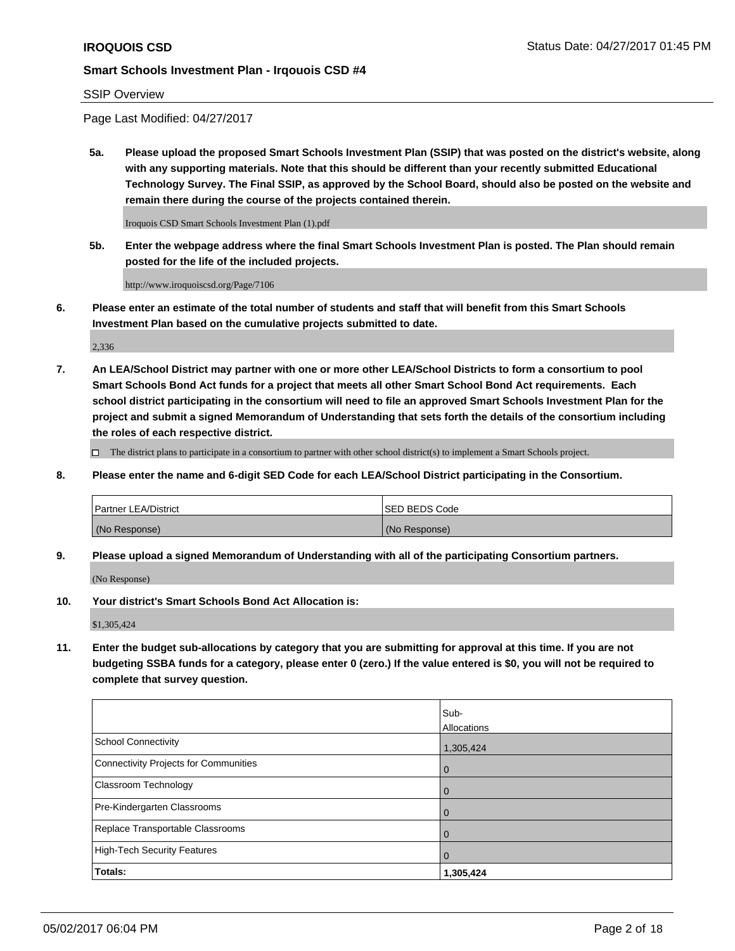#### SSIP Overview

Page Last Modified: 04/27/2017

**5a. Please upload the proposed Smart Schools Investment Plan (SSIP) that was posted on the district's website, along with any supporting materials. Note that this should be different than your recently submitted Educational Technology Survey. The Final SSIP, as approved by the School Board, should also be posted on the website and remain there during the course of the projects contained therein.**

Iroquois CSD Smart Schools Investment Plan (1).pdf

**5b. Enter the webpage address where the final Smart Schools Investment Plan is posted. The Plan should remain posted for the life of the included projects.**

http://www.iroquoiscsd.org/Page/7106

**6. Please enter an estimate of the total number of students and staff that will benefit from this Smart Schools Investment Plan based on the cumulative projects submitted to date.**

2,336

**7. An LEA/School District may partner with one or more other LEA/School Districts to form a consortium to pool Smart Schools Bond Act funds for a project that meets all other Smart School Bond Act requirements. Each school district participating in the consortium will need to file an approved Smart Schools Investment Plan for the project and submit a signed Memorandum of Understanding that sets forth the details of the consortium including the roles of each respective district.**

 $\Box$  The district plans to participate in a consortium to partner with other school district(s) to implement a Smart Schools project.

**8. Please enter the name and 6-digit SED Code for each LEA/School District participating in the Consortium.**

| <b>Partner LEA/District</b> | <b>ISED BEDS Code</b> |
|-----------------------------|-----------------------|
| (No Response)               | (No Response)         |

**9. Please upload a signed Memorandum of Understanding with all of the participating Consortium partners.**

(No Response)

**10. Your district's Smart Schools Bond Act Allocation is:**

\$1,305,424

**11. Enter the budget sub-allocations by category that you are submitting for approval at this time. If you are not budgeting SSBA funds for a category, please enter 0 (zero.) If the value entered is \$0, you will not be required to complete that survey question.**

|                                       | Sub-        |
|---------------------------------------|-------------|
|                                       | Allocations |
| <b>School Connectivity</b>            | 1,305,424   |
| Connectivity Projects for Communities | 0           |
| <b>Classroom Technology</b>           | 0           |
| Pre-Kindergarten Classrooms           | 0           |
| Replace Transportable Classrooms      | 0           |
| <b>High-Tech Security Features</b>    | 0           |
| Totals:                               | 1,305,424   |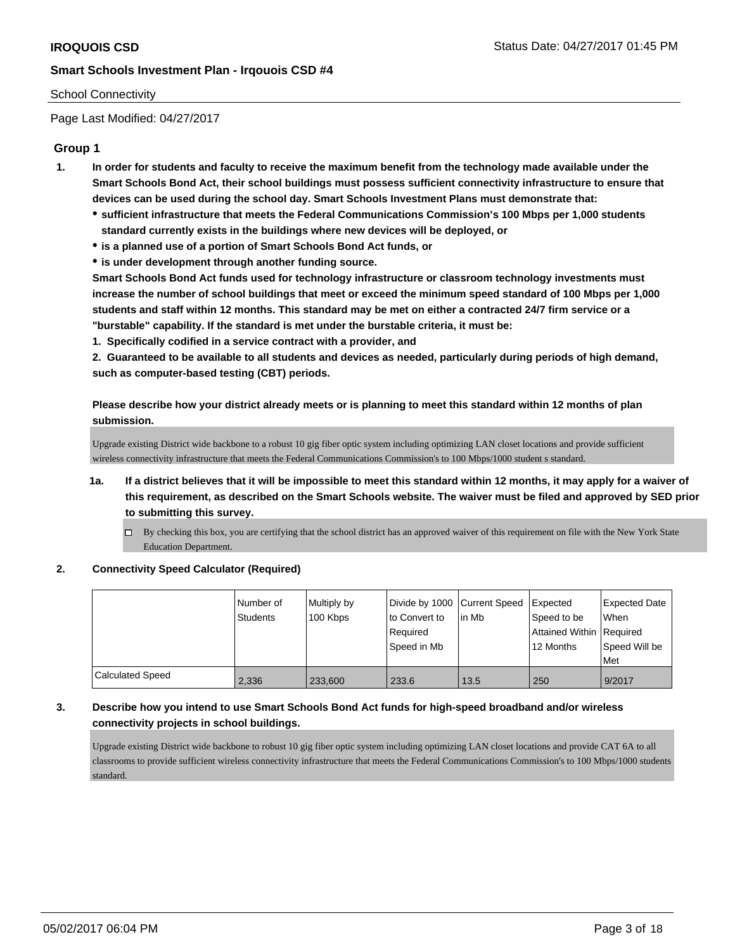# School Connectivity

Page Last Modified: 04/27/2017

# **Group 1**

- **1. In order for students and faculty to receive the maximum benefit from the technology made available under the Smart Schools Bond Act, their school buildings must possess sufficient connectivity infrastructure to ensure that devices can be used during the school day. Smart Schools Investment Plans must demonstrate that:**
	- **sufficient infrastructure that meets the Federal Communications Commission's 100 Mbps per 1,000 students standard currently exists in the buildings where new devices will be deployed, or**
	- **is a planned use of a portion of Smart Schools Bond Act funds, or**
	- **is under development through another funding source.**

**Smart Schools Bond Act funds used for technology infrastructure or classroom technology investments must increase the number of school buildings that meet or exceed the minimum speed standard of 100 Mbps per 1,000 students and staff within 12 months. This standard may be met on either a contracted 24/7 firm service or a "burstable" capability. If the standard is met under the burstable criteria, it must be:**

**1. Specifically codified in a service contract with a provider, and**

**2. Guaranteed to be available to all students and devices as needed, particularly during periods of high demand, such as computer-based testing (CBT) periods.**

**Please describe how your district already meets or is planning to meet this standard within 12 months of plan submission.**

Upgrade existing District wide backbone to a robust 10 gig fiber optic system including optimizing LAN closet locations and provide sufficient wireless connectivity infrastructure that meets the Federal Communications Commission's to 100 Mbps/1000 student s standard.

- **1a. If a district believes that it will be impossible to meet this standard within 12 months, it may apply for a waiver of this requirement, as described on the Smart Schools website. The waiver must be filed and approved by SED prior to submitting this survey.**
	- $\Box$  By checking this box, you are certifying that the school district has an approved waiver of this requirement on file with the New York State Education Department.
- **2. Connectivity Speed Calculator (Required)**

|                         | Number of<br>Students | Multiply by<br>100 Kbps | Divide by 1000 Current Speed<br>to Convert to<br>Reauired<br>Speed in Mb | l in Mb | <b>Expected</b><br>Speed to be<br>Attained Within   Required<br>12 Months | Expected Date<br><b>When</b><br>Speed Will be<br>Met |
|-------------------------|-----------------------|-------------------------|--------------------------------------------------------------------------|---------|---------------------------------------------------------------------------|------------------------------------------------------|
| <b>Calculated Speed</b> | 2,336                 | 233,600                 | 233.6                                                                    | 13.5    | 250                                                                       | 9/2017                                               |

# **3. Describe how you intend to use Smart Schools Bond Act funds for high-speed broadband and/or wireless connectivity projects in school buildings.**

Upgrade existing District wide backbone to robust 10 gig fiber optic system including optimizing LAN closet locations and provide CAT 6A to all classrooms to provide sufficient wireless connectivity infrastructure that meets the Federal Communications Commission's to 100 Mbps/1000 students standard.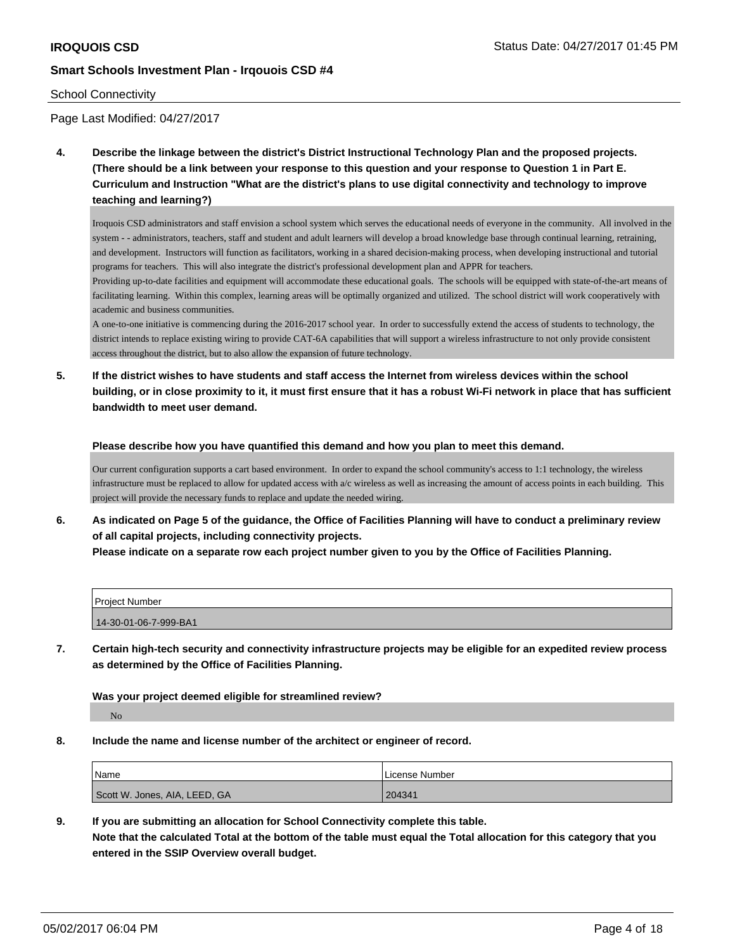#### School Connectivity

Page Last Modified: 04/27/2017

**4. Describe the linkage between the district's District Instructional Technology Plan and the proposed projects. (There should be a link between your response to this question and your response to Question 1 in Part E. Curriculum and Instruction "What are the district's plans to use digital connectivity and technology to improve teaching and learning?)**

Iroquois CSD administrators and staff envision a school system which serves the educational needs of everyone in the community. All involved in the system - - administrators, teachers, staff and student and adult learners will develop a broad knowledge base through continual learning, retraining, and development. Instructors will function as facilitators, working in a shared decision-making process, when developing instructional and tutorial programs for teachers. This will also integrate the district's professional development plan and APPR for teachers.

Providing up-to-date facilities and equipment will accommodate these educational goals. The schools will be equipped with state-of-the-art means of facilitating learning. Within this complex, learning areas will be optimally organized and utilized. The school district will work cooperatively with academic and business communities.

A one-to-one initiative is commencing during the 2016-2017 school year. In order to successfully extend the access of students to technology, the district intends to replace existing wiring to provide CAT-6A capabilities that will support a wireless infrastructure to not only provide consistent access throughout the district, but to also allow the expansion of future technology.

**5. If the district wishes to have students and staff access the Internet from wireless devices within the school building, or in close proximity to it, it must first ensure that it has a robust Wi-Fi network in place that has sufficient bandwidth to meet user demand.**

**Please describe how you have quantified this demand and how you plan to meet this demand.**

Our current configuration supports a cart based environment. In order to expand the school community's access to 1:1 technology, the wireless infrastructure must be replaced to allow for updated access with  $a/c$  wireless as well as increasing the amount of access points in each building. This project will provide the necessary funds to replace and update the needed wiring.

**6. As indicated on Page 5 of the guidance, the Office of Facilities Planning will have to conduct a preliminary review of all capital projects, including connectivity projects. Please indicate on a separate row each project number given to you by the Office of Facilities Planning.**

| <b>Project Number</b> |  |
|-----------------------|--|
| 14-30-01-06-7-999-BA1 |  |

**7. Certain high-tech security and connectivity infrastructure projects may be eligible for an expedited review process as determined by the Office of Facilities Planning.**

**Was your project deemed eligible for streamlined review?**

No

**8. Include the name and license number of the architect or engineer of record.**

| Name                          | License Number |
|-------------------------------|----------------|
| Scott W. Jones, AIA, LEED, GA | 204341         |

**9. If you are submitting an allocation for School Connectivity complete this table. Note that the calculated Total at the bottom of the table must equal the Total allocation for this category that you entered in the SSIP Overview overall budget.**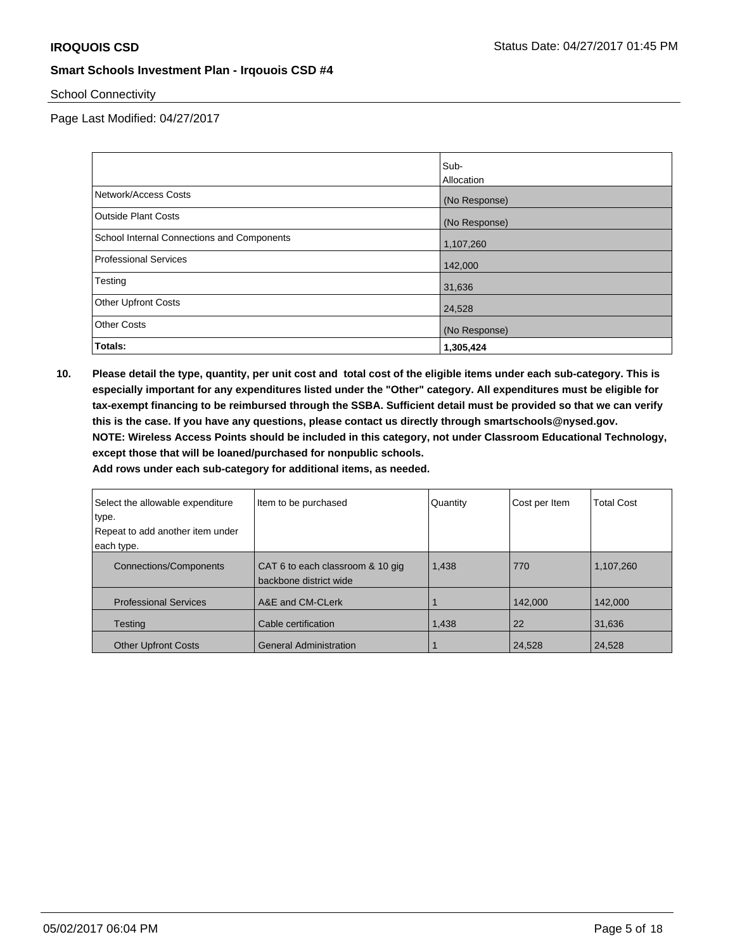School Connectivity

Page Last Modified: 04/27/2017

|                                            | Sub-          |
|--------------------------------------------|---------------|
|                                            | Allocation    |
| Network/Access Costs                       | (No Response) |
| <b>Outside Plant Costs</b>                 | (No Response) |
| School Internal Connections and Components | 1,107,260     |
| <b>Professional Services</b>               | 142,000       |
| Testing                                    | 31,636        |
| <b>Other Upfront Costs</b>                 | 24,528        |
| <b>Other Costs</b>                         | (No Response) |
| Totals:                                    | 1,305,424     |

**10. Please detail the type, quantity, per unit cost and total cost of the eligible items under each sub-category. This is especially important for any expenditures listed under the "Other" category. All expenditures must be eligible for tax-exempt financing to be reimbursed through the SSBA. Sufficient detail must be provided so that we can verify this is the case. If you have any questions, please contact us directly through smartschools@nysed.gov. NOTE: Wireless Access Points should be included in this category, not under Classroom Educational Technology, except those that will be loaned/purchased for nonpublic schools.**

| Select the allowable expenditure<br>∣type.<br>Repeat to add another item under<br>each type. | Item to be purchased                                       | Quantity | Cost per Item | <b>Total Cost</b> |
|----------------------------------------------------------------------------------------------|------------------------------------------------------------|----------|---------------|-------------------|
| <b>Connections/Components</b>                                                                | CAT 6 to each classroom & 10 gig<br>backbone district wide | 1,438    | 770           | 1,107,260         |
| <b>Professional Services</b>                                                                 | A&E and CM-CLerk                                           |          | 142,000       | 142,000           |
| Testing                                                                                      | Cable certification                                        | 1,438    | 22            | 31,636            |
| <b>Other Upfront Costs</b>                                                                   | <b>General Administration</b>                              |          | 24,528        | 24,528            |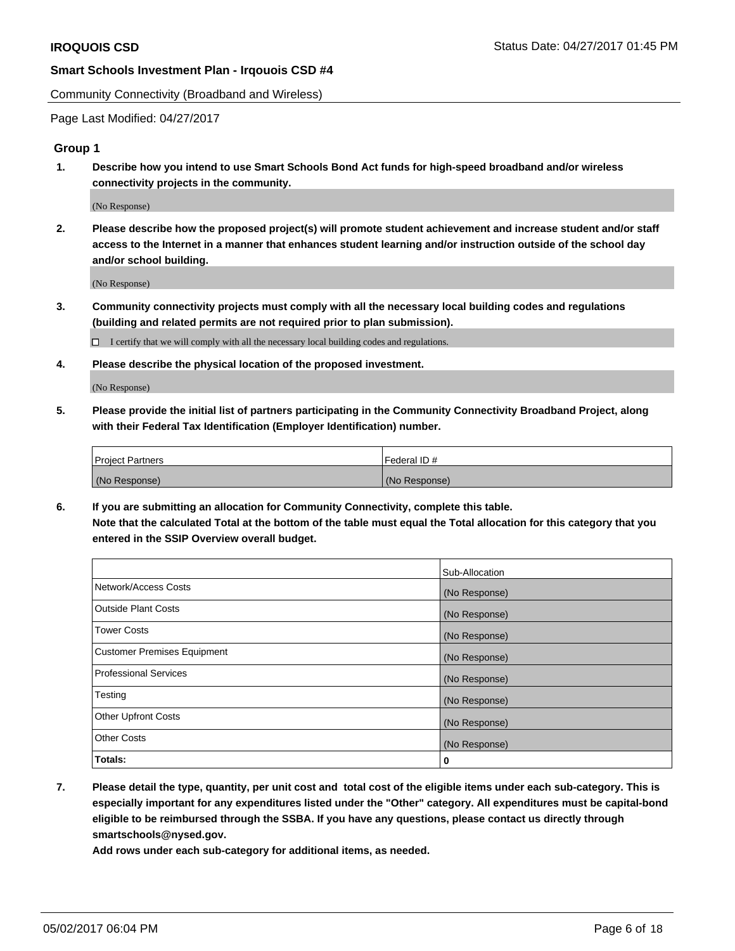Community Connectivity (Broadband and Wireless)

Page Last Modified: 04/27/2017

## **Group 1**

**1. Describe how you intend to use Smart Schools Bond Act funds for high-speed broadband and/or wireless connectivity projects in the community.**

(No Response)

**2. Please describe how the proposed project(s) will promote student achievement and increase student and/or staff access to the Internet in a manner that enhances student learning and/or instruction outside of the school day and/or school building.**

(No Response)

**3. Community connectivity projects must comply with all the necessary local building codes and regulations (building and related permits are not required prior to plan submission).**

 $\Box$  I certify that we will comply with all the necessary local building codes and regulations.

**4. Please describe the physical location of the proposed investment.**

(No Response)

**5. Please provide the initial list of partners participating in the Community Connectivity Broadband Project, along with their Federal Tax Identification (Employer Identification) number.**

| <b>Project Partners</b> | Federal ID#     |
|-------------------------|-----------------|
| (No Response)           | l (No Response) |

**6. If you are submitting an allocation for Community Connectivity, complete this table. Note that the calculated Total at the bottom of the table must equal the Total allocation for this category that you entered in the SSIP Overview overall budget.**

|                                    | Sub-Allocation |
|------------------------------------|----------------|
| Network/Access Costs               | (No Response)  |
| Outside Plant Costs                | (No Response)  |
| <b>Tower Costs</b>                 | (No Response)  |
| <b>Customer Premises Equipment</b> | (No Response)  |
| <b>Professional Services</b>       | (No Response)  |
| Testing                            | (No Response)  |
| <b>Other Upfront Costs</b>         | (No Response)  |
| <b>Other Costs</b>                 | (No Response)  |
| Totals:                            | 0              |

**7. Please detail the type, quantity, per unit cost and total cost of the eligible items under each sub-category. This is especially important for any expenditures listed under the "Other" category. All expenditures must be capital-bond eligible to be reimbursed through the SSBA. If you have any questions, please contact us directly through smartschools@nysed.gov.**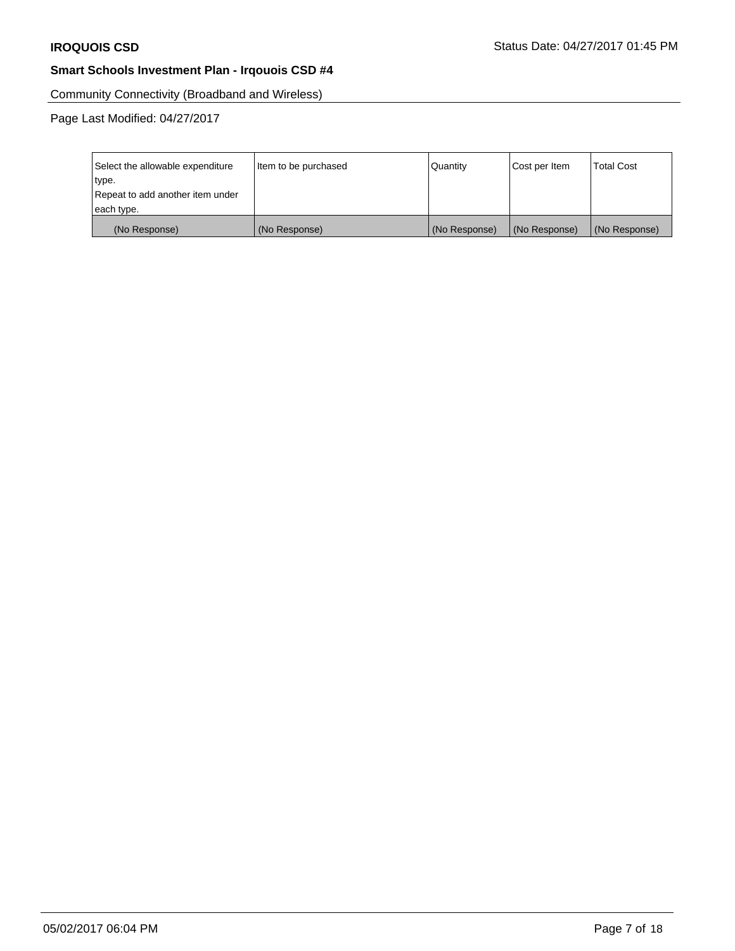Community Connectivity (Broadband and Wireless)

| Select the allowable expenditure<br>type.<br>Repeat to add another item under | Item to be purchased | Quantity      | Cost per Item | <b>Total Cost</b> |
|-------------------------------------------------------------------------------|----------------------|---------------|---------------|-------------------|
| each type.                                                                    |                      |               |               |                   |
| (No Response)                                                                 | (No Response)        | (No Response) | (No Response) | (No Response)     |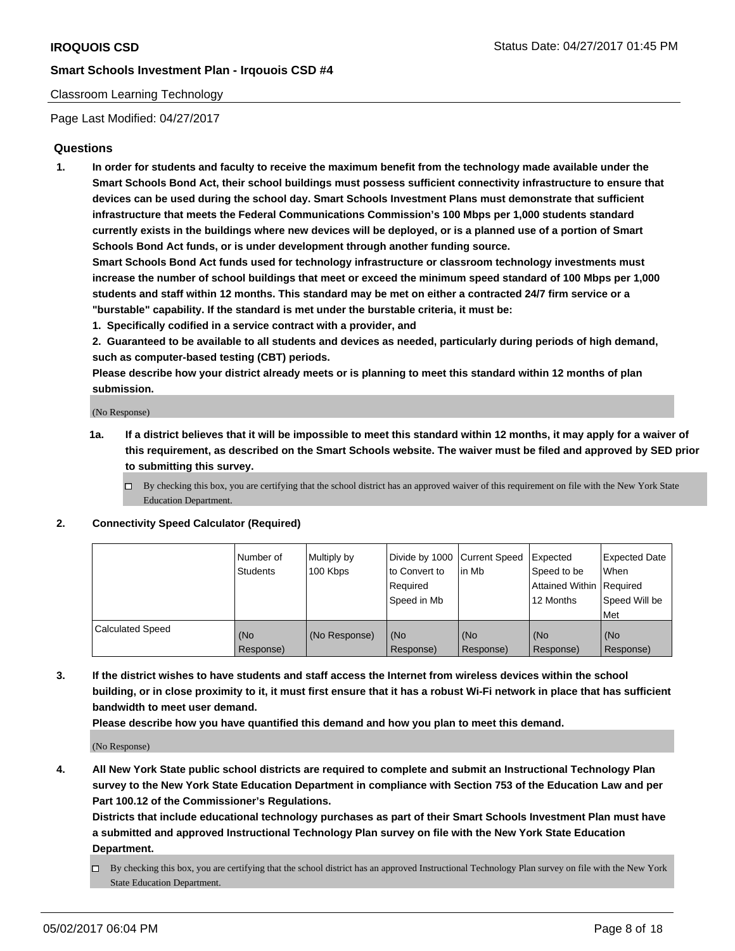# Classroom Learning Technology

Page Last Modified: 04/27/2017

# **Questions**

**1. In order for students and faculty to receive the maximum benefit from the technology made available under the Smart Schools Bond Act, their school buildings must possess sufficient connectivity infrastructure to ensure that devices can be used during the school day. Smart Schools Investment Plans must demonstrate that sufficient infrastructure that meets the Federal Communications Commission's 100 Mbps per 1,000 students standard currently exists in the buildings where new devices will be deployed, or is a planned use of a portion of Smart Schools Bond Act funds, or is under development through another funding source.**

**Smart Schools Bond Act funds used for technology infrastructure or classroom technology investments must increase the number of school buildings that meet or exceed the minimum speed standard of 100 Mbps per 1,000 students and staff within 12 months. This standard may be met on either a contracted 24/7 firm service or a "burstable" capability. If the standard is met under the burstable criteria, it must be:**

- **1. Specifically codified in a service contract with a provider, and**
- **2. Guaranteed to be available to all students and devices as needed, particularly during periods of high demand, such as computer-based testing (CBT) periods.**

**Please describe how your district already meets or is planning to meet this standard within 12 months of plan submission.**

(No Response)

- **1a. If a district believes that it will be impossible to meet this standard within 12 months, it may apply for a waiver of this requirement, as described on the Smart Schools website. The waiver must be filed and approved by SED prior to submitting this survey.**
	- $\Box$  By checking this box, you are certifying that the school district has an approved waiver of this requirement on file with the New York State Education Department.

#### **2. Connectivity Speed Calculator (Required)**

|                         | l Number of<br>Students | Multiply by<br>100 Kbps | Divide by 1000   Current Speed<br>to Convert to<br>Required<br>Speed in Mb | l in Mb          | Expected<br>Speed to be<br>Attained Within Required<br>12 Months | <b>Expected Date</b><br>When<br>Speed Will be<br>Met |
|-------------------------|-------------------------|-------------------------|----------------------------------------------------------------------------|------------------|------------------------------------------------------------------|------------------------------------------------------|
| <b>Calculated Speed</b> | (No<br>Response)        | (No Response)           | (No<br>Response)                                                           | (No<br>Response) | (No<br>Response)                                                 | (No<br>Response)                                     |

**3. If the district wishes to have students and staff access the Internet from wireless devices within the school building, or in close proximity to it, it must first ensure that it has a robust Wi-Fi network in place that has sufficient bandwidth to meet user demand.**

**Please describe how you have quantified this demand and how you plan to meet this demand.**

(No Response)

**4. All New York State public school districts are required to complete and submit an Instructional Technology Plan survey to the New York State Education Department in compliance with Section 753 of the Education Law and per Part 100.12 of the Commissioner's Regulations.**

**Districts that include educational technology purchases as part of their Smart Schools Investment Plan must have a submitted and approved Instructional Technology Plan survey on file with the New York State Education Department.**

 $\Box$  By checking this box, you are certifying that the school district has an approved Instructional Technology Plan survey on file with the New York State Education Department.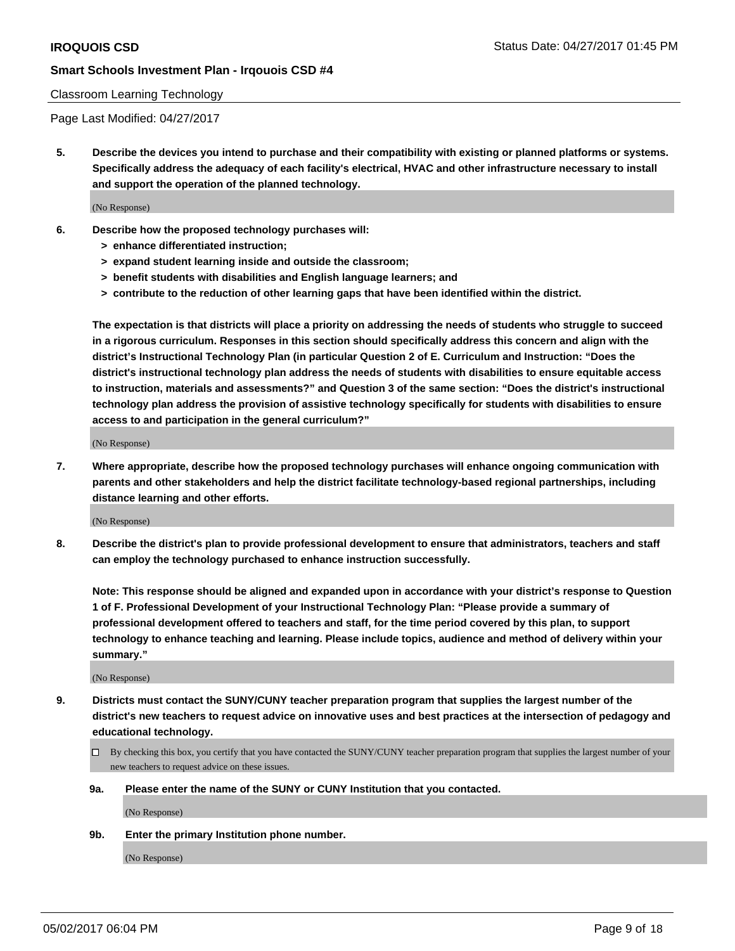#### Classroom Learning Technology

Page Last Modified: 04/27/2017

**5. Describe the devices you intend to purchase and their compatibility with existing or planned platforms or systems. Specifically address the adequacy of each facility's electrical, HVAC and other infrastructure necessary to install and support the operation of the planned technology.**

(No Response)

- **6. Describe how the proposed technology purchases will:**
	- **> enhance differentiated instruction;**
	- **> expand student learning inside and outside the classroom;**
	- **> benefit students with disabilities and English language learners; and**
	- **> contribute to the reduction of other learning gaps that have been identified within the district.**

**The expectation is that districts will place a priority on addressing the needs of students who struggle to succeed in a rigorous curriculum. Responses in this section should specifically address this concern and align with the district's Instructional Technology Plan (in particular Question 2 of E. Curriculum and Instruction: "Does the district's instructional technology plan address the needs of students with disabilities to ensure equitable access to instruction, materials and assessments?" and Question 3 of the same section: "Does the district's instructional technology plan address the provision of assistive technology specifically for students with disabilities to ensure access to and participation in the general curriculum?"**

(No Response)

**7. Where appropriate, describe how the proposed technology purchases will enhance ongoing communication with parents and other stakeholders and help the district facilitate technology-based regional partnerships, including distance learning and other efforts.**

(No Response)

**8. Describe the district's plan to provide professional development to ensure that administrators, teachers and staff can employ the technology purchased to enhance instruction successfully.**

**Note: This response should be aligned and expanded upon in accordance with your district's response to Question 1 of F. Professional Development of your Instructional Technology Plan: "Please provide a summary of professional development offered to teachers and staff, for the time period covered by this plan, to support technology to enhance teaching and learning. Please include topics, audience and method of delivery within your summary."**

(No Response)

- **9. Districts must contact the SUNY/CUNY teacher preparation program that supplies the largest number of the district's new teachers to request advice on innovative uses and best practices at the intersection of pedagogy and educational technology.**
	- By checking this box, you certify that you have contacted the SUNY/CUNY teacher preparation program that supplies the largest number of your new teachers to request advice on these issues.
	- **9a. Please enter the name of the SUNY or CUNY Institution that you contacted.**

(No Response)

**9b. Enter the primary Institution phone number.**

(No Response)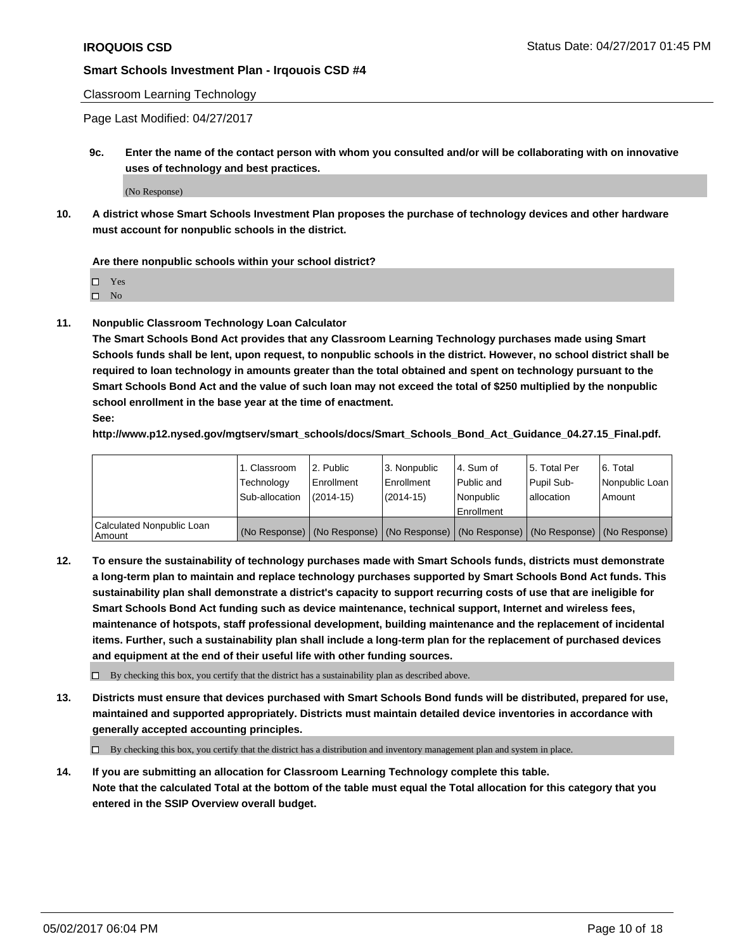Classroom Learning Technology

Page Last Modified: 04/27/2017

**9c. Enter the name of the contact person with whom you consulted and/or will be collaborating with on innovative uses of technology and best practices.**

(No Response)

**10. A district whose Smart Schools Investment Plan proposes the purchase of technology devices and other hardware must account for nonpublic schools in the district.**

**Are there nonpublic schools within your school district?**

Yes

 $\square$  No

**11. Nonpublic Classroom Technology Loan Calculator**

**The Smart Schools Bond Act provides that any Classroom Learning Technology purchases made using Smart Schools funds shall be lent, upon request, to nonpublic schools in the district. However, no school district shall be required to loan technology in amounts greater than the total obtained and spent on technology pursuant to the Smart Schools Bond Act and the value of such loan may not exceed the total of \$250 multiplied by the nonpublic school enrollment in the base year at the time of enactment.**

**See:**

**http://www.p12.nysed.gov/mgtserv/smart\_schools/docs/Smart\_Schools\_Bond\_Act\_Guidance\_04.27.15\_Final.pdf.**

|                                       | 1. Classroom   | 2. Public  | 3. Nonpublic | l 4. Sum of | l 5. Total Per | l 6. Total                                                                                    |
|---------------------------------------|----------------|------------|--------------|-------------|----------------|-----------------------------------------------------------------------------------------------|
|                                       | Technology     | Enrollment | Enrollment   | Public and  | Pupil Sub-     | Nonpublic Loan                                                                                |
|                                       | Sub-allocation | (2014-15)  | (2014-15)    | l Nonpublic | allocation     | Amount                                                                                        |
|                                       |                |            |              | Enrollment  |                |                                                                                               |
| Calculated Nonpublic Loan<br>  Amount |                |            |              |             |                | (No Response)   (No Response)   (No Response)   (No Response)   (No Response)   (No Response) |

**12. To ensure the sustainability of technology purchases made with Smart Schools funds, districts must demonstrate a long-term plan to maintain and replace technology purchases supported by Smart Schools Bond Act funds. This sustainability plan shall demonstrate a district's capacity to support recurring costs of use that are ineligible for Smart Schools Bond Act funding such as device maintenance, technical support, Internet and wireless fees, maintenance of hotspots, staff professional development, building maintenance and the replacement of incidental items. Further, such a sustainability plan shall include a long-term plan for the replacement of purchased devices and equipment at the end of their useful life with other funding sources.**

 $\Box$  By checking this box, you certify that the district has a sustainability plan as described above.

**13. Districts must ensure that devices purchased with Smart Schools Bond funds will be distributed, prepared for use, maintained and supported appropriately. Districts must maintain detailed device inventories in accordance with generally accepted accounting principles.**

By checking this box, you certify that the district has a distribution and inventory management plan and system in place.

**14. If you are submitting an allocation for Classroom Learning Technology complete this table. Note that the calculated Total at the bottom of the table must equal the Total allocation for this category that you entered in the SSIP Overview overall budget.**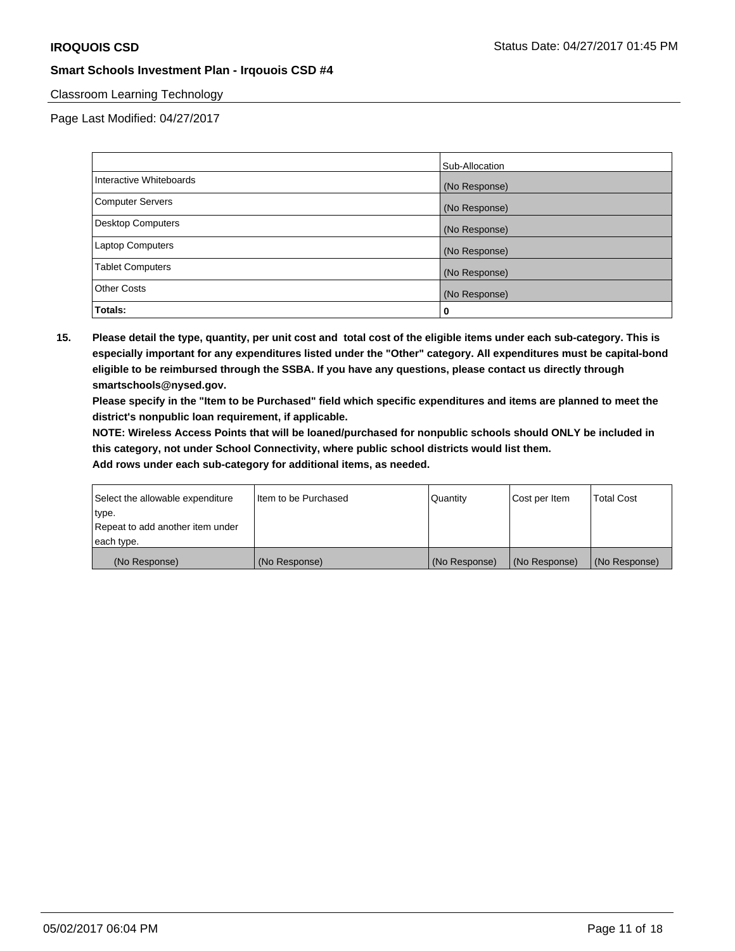# Classroom Learning Technology

Page Last Modified: 04/27/2017

|                          | Sub-Allocation |
|--------------------------|----------------|
| Interactive Whiteboards  | (No Response)  |
| Computer Servers         | (No Response)  |
| <b>Desktop Computers</b> | (No Response)  |
| <b>Laptop Computers</b>  | (No Response)  |
| <b>Tablet Computers</b>  | (No Response)  |
| <b>Other Costs</b>       | (No Response)  |
| Totals:                  | 0              |

**15. Please detail the type, quantity, per unit cost and total cost of the eligible items under each sub-category. This is especially important for any expenditures listed under the "Other" category. All expenditures must be capital-bond eligible to be reimbursed through the SSBA. If you have any questions, please contact us directly through smartschools@nysed.gov.**

**Please specify in the "Item to be Purchased" field which specific expenditures and items are planned to meet the district's nonpublic loan requirement, if applicable.**

**NOTE: Wireless Access Points that will be loaned/purchased for nonpublic schools should ONLY be included in this category, not under School Connectivity, where public school districts would list them.**

| type.<br>Repeat to add another item under |               |               |               |               |
|-------------------------------------------|---------------|---------------|---------------|---------------|
| each type.                                |               |               |               |               |
| (No Response)                             | (No Response) | (No Response) | (No Response) | (No Response) |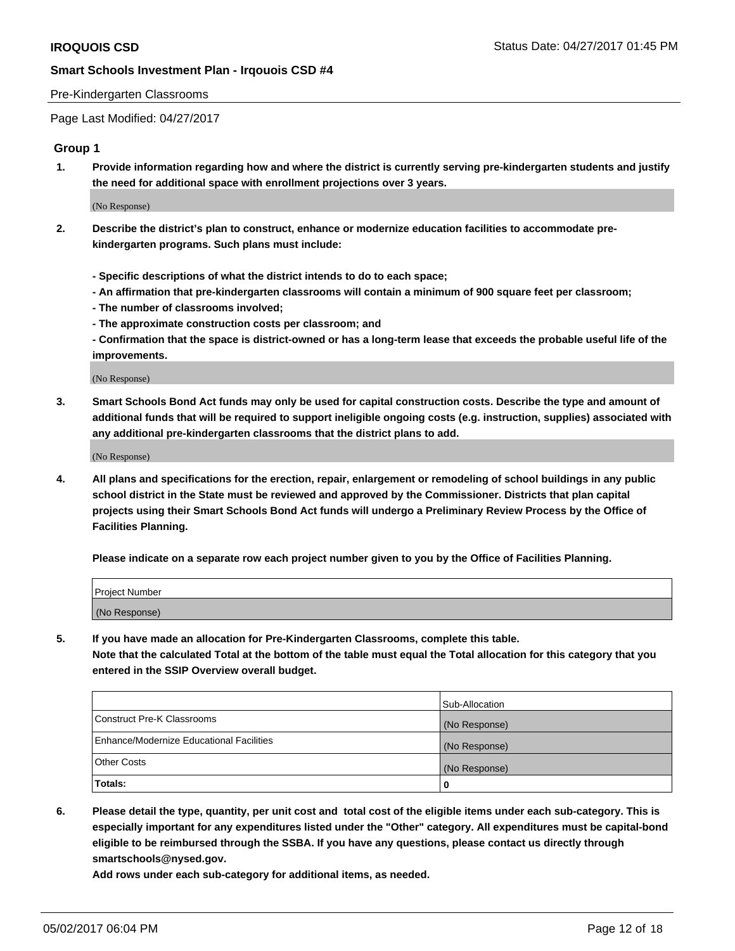#### Pre-Kindergarten Classrooms

Page Last Modified: 04/27/2017

#### **Group 1**

**1. Provide information regarding how and where the district is currently serving pre-kindergarten students and justify the need for additional space with enrollment projections over 3 years.**

(No Response)

- **2. Describe the district's plan to construct, enhance or modernize education facilities to accommodate prekindergarten programs. Such plans must include:**
	- **Specific descriptions of what the district intends to do to each space;**
	- **An affirmation that pre-kindergarten classrooms will contain a minimum of 900 square feet per classroom;**
	- **The number of classrooms involved;**
	- **The approximate construction costs per classroom; and**
	- **Confirmation that the space is district-owned or has a long-term lease that exceeds the probable useful life of the improvements.**

(No Response)

**3. Smart Schools Bond Act funds may only be used for capital construction costs. Describe the type and amount of additional funds that will be required to support ineligible ongoing costs (e.g. instruction, supplies) associated with any additional pre-kindergarten classrooms that the district plans to add.**

(No Response)

**4. All plans and specifications for the erection, repair, enlargement or remodeling of school buildings in any public school district in the State must be reviewed and approved by the Commissioner. Districts that plan capital projects using their Smart Schools Bond Act funds will undergo a Preliminary Review Process by the Office of Facilities Planning.**

**Please indicate on a separate row each project number given to you by the Office of Facilities Planning.**

| Project Number |  |
|----------------|--|
| (No Response)  |  |

**5. If you have made an allocation for Pre-Kindergarten Classrooms, complete this table. Note that the calculated Total at the bottom of the table must equal the Total allocation for this category that you entered in the SSIP Overview overall budget.**

| Totals:                                  | 0              |
|------------------------------------------|----------------|
| Other Costs                              | (No Response)  |
| Enhance/Modernize Educational Facilities | (No Response)  |
| Construct Pre-K Classrooms               | (No Response)  |
|                                          | Sub-Allocation |

**6. Please detail the type, quantity, per unit cost and total cost of the eligible items under each sub-category. This is especially important for any expenditures listed under the "Other" category. All expenditures must be capital-bond eligible to be reimbursed through the SSBA. If you have any questions, please contact us directly through smartschools@nysed.gov.**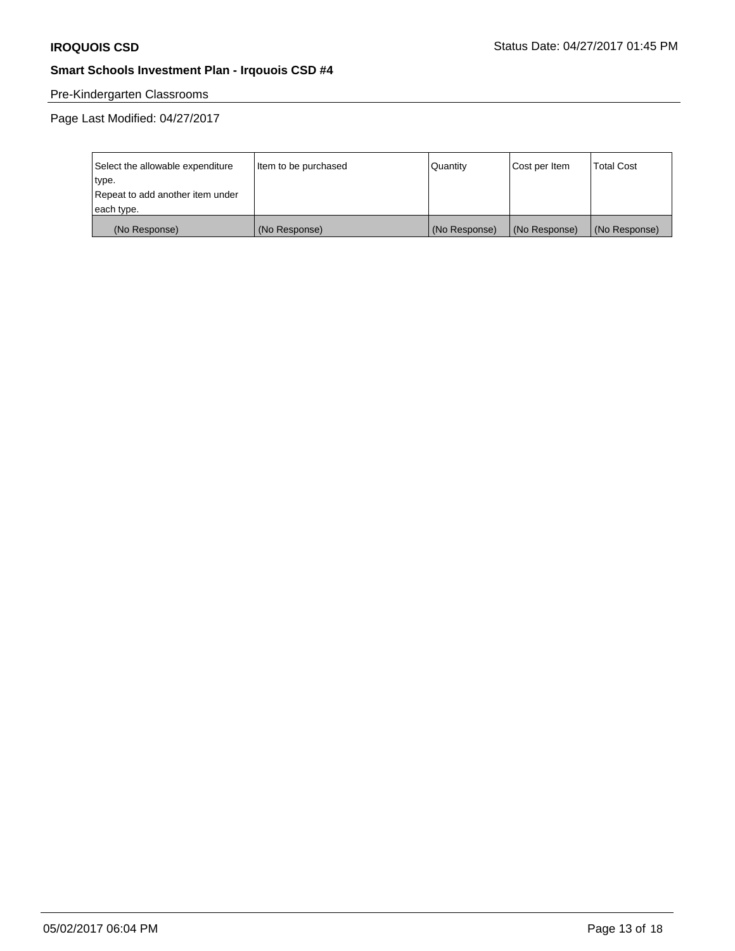# Pre-Kindergarten Classrooms

| Select the allowable expenditure | Item to be purchased | Quantity      | Cost per Item | <b>Total Cost</b> |
|----------------------------------|----------------------|---------------|---------------|-------------------|
| type.                            |                      |               |               |                   |
| Repeat to add another item under |                      |               |               |                   |
| each type.                       |                      |               |               |                   |
| (No Response)                    | (No Response)        | (No Response) | (No Response) | (No Response)     |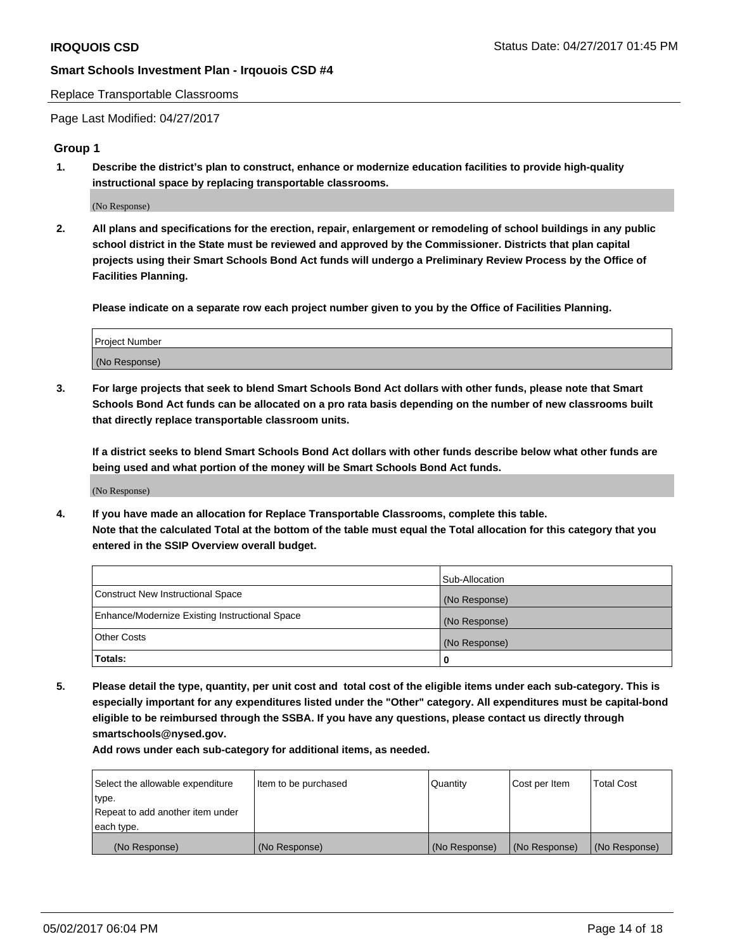#### Replace Transportable Classrooms

Page Last Modified: 04/27/2017

## **Group 1**

**1. Describe the district's plan to construct, enhance or modernize education facilities to provide high-quality instructional space by replacing transportable classrooms.**

(No Response)

**2. All plans and specifications for the erection, repair, enlargement or remodeling of school buildings in any public school district in the State must be reviewed and approved by the Commissioner. Districts that plan capital projects using their Smart Schools Bond Act funds will undergo a Preliminary Review Process by the Office of Facilities Planning.**

**Please indicate on a separate row each project number given to you by the Office of Facilities Planning.**

| Project Number |  |
|----------------|--|
| (No Response)  |  |

**3. For large projects that seek to blend Smart Schools Bond Act dollars with other funds, please note that Smart Schools Bond Act funds can be allocated on a pro rata basis depending on the number of new classrooms built that directly replace transportable classroom units.**

**If a district seeks to blend Smart Schools Bond Act dollars with other funds describe below what other funds are being used and what portion of the money will be Smart Schools Bond Act funds.**

(No Response)

**4. If you have made an allocation for Replace Transportable Classrooms, complete this table. Note that the calculated Total at the bottom of the table must equal the Total allocation for this category that you entered in the SSIP Overview overall budget.**

|                                                | Sub-Allocation |
|------------------------------------------------|----------------|
| Construct New Instructional Space              | (No Response)  |
| Enhance/Modernize Existing Instructional Space | (No Response)  |
| Other Costs                                    | (No Response)  |
| Totals:                                        | $\Omega$       |

**5. Please detail the type, quantity, per unit cost and total cost of the eligible items under each sub-category. This is especially important for any expenditures listed under the "Other" category. All expenditures must be capital-bond eligible to be reimbursed through the SSBA. If you have any questions, please contact us directly through smartschools@nysed.gov.**

| Select the allowable expenditure | Item to be purchased | Quantity      | Cost per Item | <b>Total Cost</b> |
|----------------------------------|----------------------|---------------|---------------|-------------------|
| type.                            |                      |               |               |                   |
| Repeat to add another item under |                      |               |               |                   |
| each type.                       |                      |               |               |                   |
| (No Response)                    | (No Response)        | (No Response) | (No Response) | (No Response)     |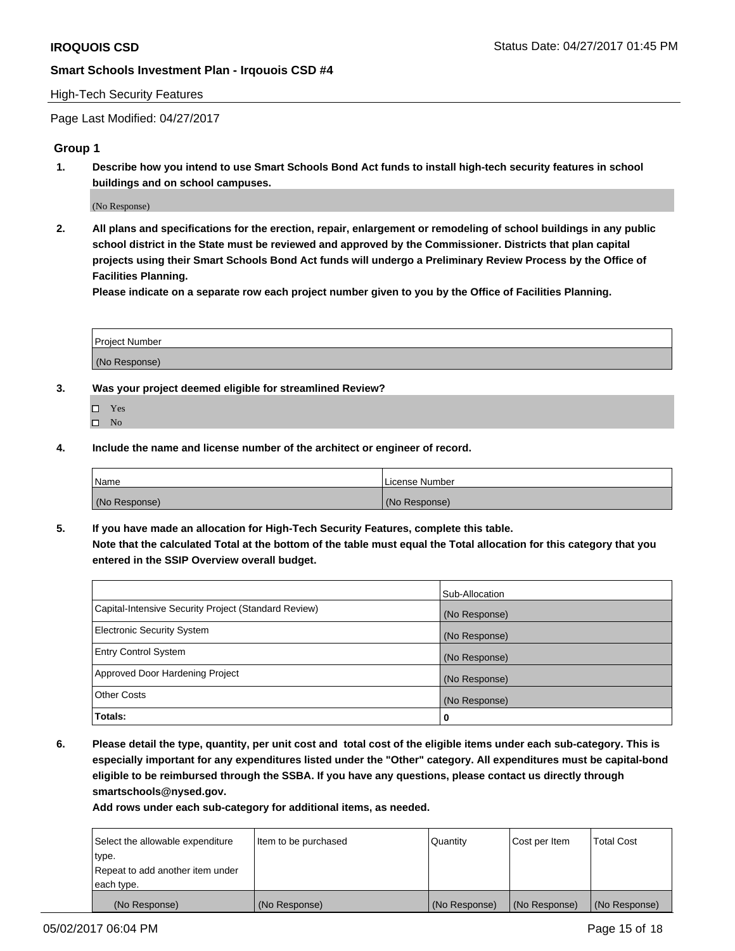#### High-Tech Security Features

Page Last Modified: 04/27/2017

# **Group 1**

**1. Describe how you intend to use Smart Schools Bond Act funds to install high-tech security features in school buildings and on school campuses.**

(No Response)

**2. All plans and specifications for the erection, repair, enlargement or remodeling of school buildings in any public school district in the State must be reviewed and approved by the Commissioner. Districts that plan capital projects using their Smart Schools Bond Act funds will undergo a Preliminary Review Process by the Office of Facilities Planning.** 

**Please indicate on a separate row each project number given to you by the Office of Facilities Planning.**

| Project Number |  |
|----------------|--|
|                |  |
| (No Response)  |  |

- **3. Was your project deemed eligible for streamlined Review?**
	- Yes  $\hfill \square$  No
- **4. Include the name and license number of the architect or engineer of record.**

| Name          | License Number |
|---------------|----------------|
| (No Response) | (No Response)  |

**5. If you have made an allocation for High-Tech Security Features, complete this table. Note that the calculated Total at the bottom of the table must equal the Total allocation for this category that you entered in the SSIP Overview overall budget.**

|                                                      | Sub-Allocation |
|------------------------------------------------------|----------------|
| Capital-Intensive Security Project (Standard Review) | (No Response)  |
| Electronic Security System                           | (No Response)  |
| <b>Entry Control System</b>                          | (No Response)  |
| Approved Door Hardening Project                      | (No Response)  |
| <b>Other Costs</b>                                   | (No Response)  |
| Totals:                                              | 0              |

**6. Please detail the type, quantity, per unit cost and total cost of the eligible items under each sub-category. This is especially important for any expenditures listed under the "Other" category. All expenditures must be capital-bond eligible to be reimbursed through the SSBA. If you have any questions, please contact us directly through smartschools@nysed.gov.**

| (No Response)                    | (No Response)        | (No Response) | (No Response) | (No Response)     |
|----------------------------------|----------------------|---------------|---------------|-------------------|
| each type.                       |                      |               |               |                   |
| Repeat to add another item under |                      |               |               |                   |
| type.                            |                      |               |               |                   |
| Select the allowable expenditure | Item to be purchased | Quantity      | Cost per Item | <b>Total Cost</b> |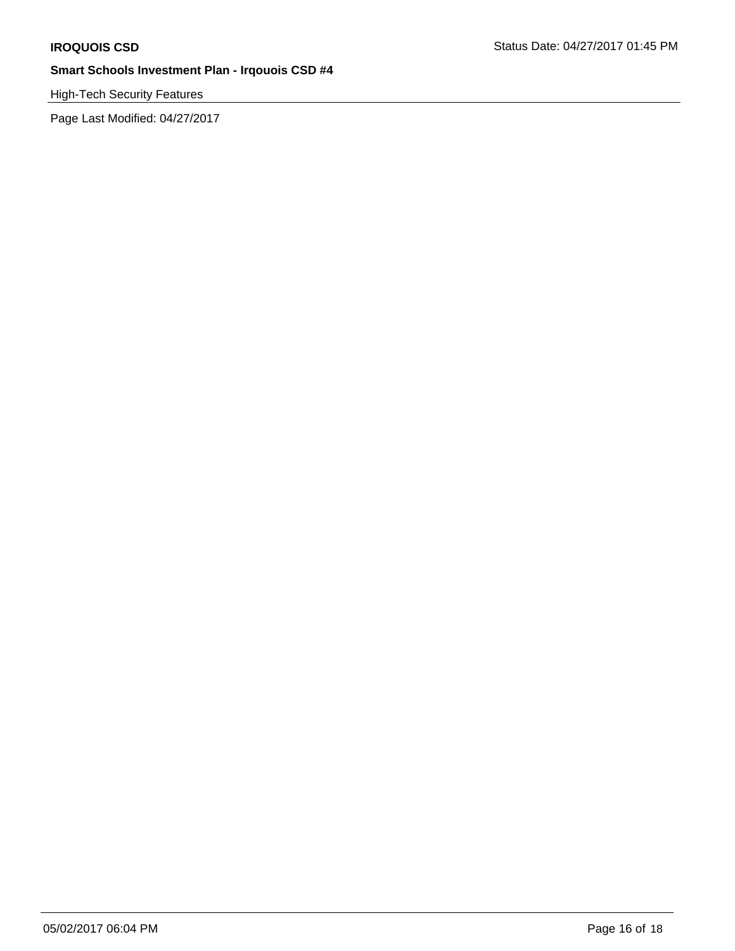High-Tech Security Features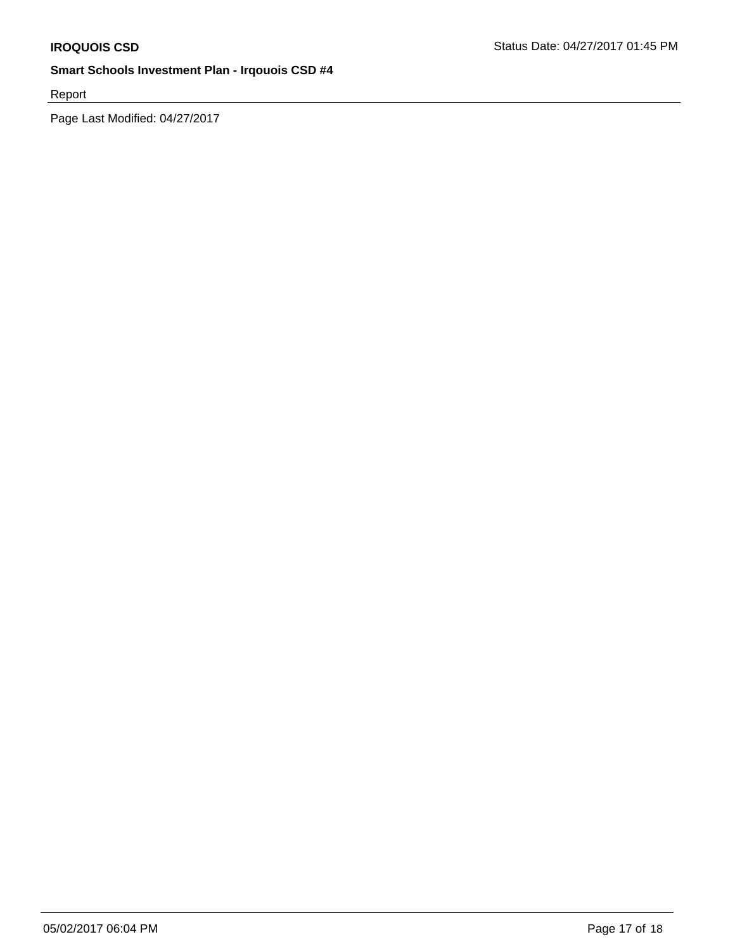Report